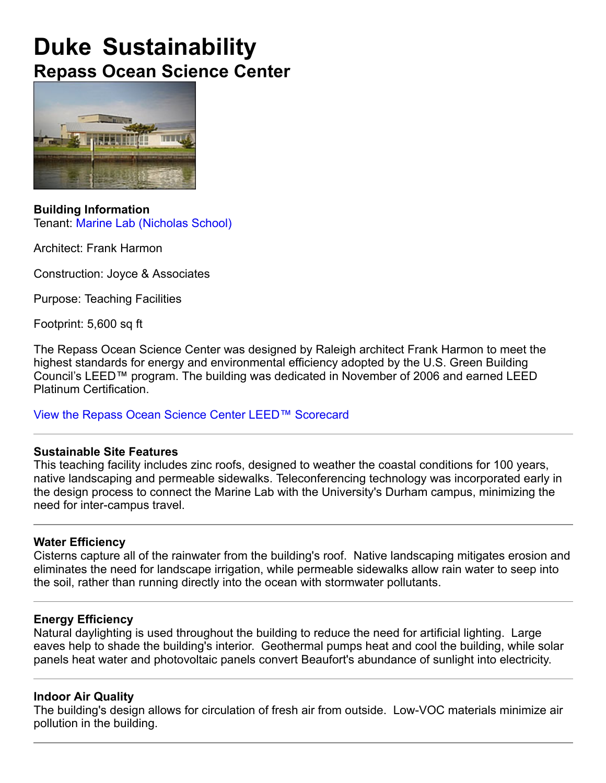# **Duke Sustainability Repass Ocean Science Center**



**Building Information** Tenant: Marine Lab (Nicholas School)

Architect: Frank Harmon

Construction: Joyce & Associates

Purpose: Teaching Facilities

Footprint: 5,600 sq ft

The Repass Ocean Science Center was designed by Raleigh architect Frank Harmon to meet the highest standards for energy and environmental efficiency adopted by the U.S. Green Building Council's LEED™ program. The building was dedicated in November of 2006 and earned LEED Platinum Certification.

View the Repass Ocean Science Center LEED™ Scorecard

#### **Sustainable Site Features**

This teaching facility includes zinc roofs, designed to weather the coastal conditions for 100 years, native landscaping and permeable sidewalks. Teleconferencing technology was incorporated early in the design process to connect the Marine Lab with the University's Durham campus, minimizing the need for inter-campus travel.

#### **Water Efficiency**

Cisterns capture all of the rainwater from the building's roof. Native landscaping mitigates erosion and eliminates the need for landscape irrigation, while permeable sidewalks allow rain water to seep into the soil, rather than running directly into the ocean with stormwater pollutants.

#### **Energy Efficiency**

Natural daylighting is used throughout the building to reduce the need for artificial lighting. Large eaves help to shade the building's interior. Geothermal pumps heat and cool the building, while solar panels heat water and photovoltaic panels convert Beaufort's abundance of sunlight into electricity.

#### **Indoor Air Quality**

The building's design allows for circulation of fresh air from outside. Low-VOC materials minimize air pollution in the building.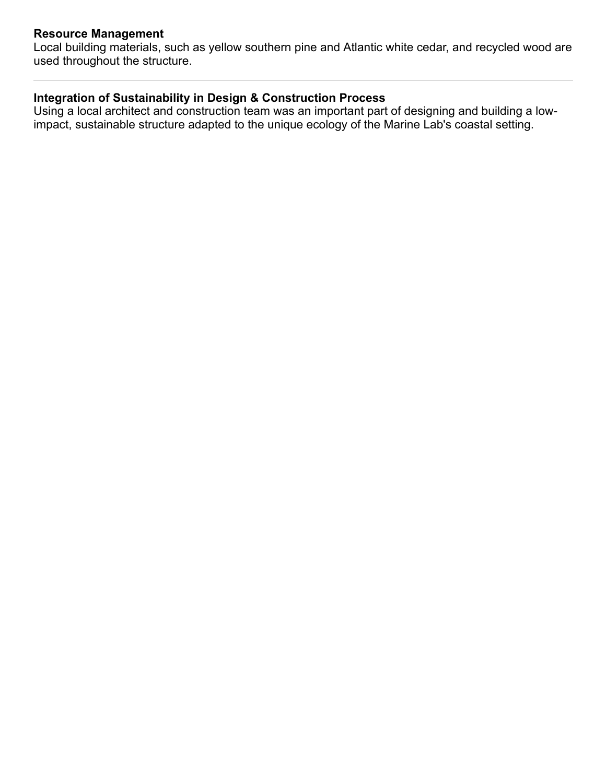## **Resource Management**

Local building materials, such as yellow southern pine and Atlantic white cedar, and recycled wood are used throughout the structure.

## **Integration of Sustainability in Design & Construction Process**

Using a local architect and construction team was an important part of designing and building a lowimpact, sustainable structure adapted to the unique ecology of the Marine Lab's coastal setting.